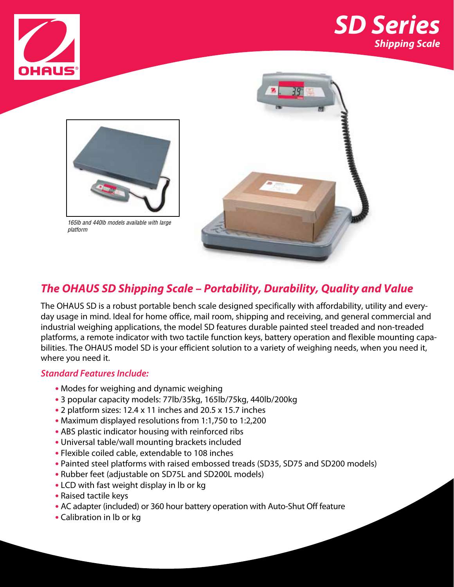





*165lb and 440lb models available with large platform*



### *The OHAUS SD Shipping Scale – Portability, Durability, Quality and Value*

The OHAUS SD is a robust portable bench scale designed specifically with affordability, utility and everyday usage in mind. Ideal for home office, mail room, shipping and receiving, and general commercial and industrial weighing applications, the model SD features durable painted steel treaded and non-treaded platforms, a remote indicator with two tactile function keys, battery operation and flexible mounting capabilities. The OHAUS model SD is your efficient solution to a variety of weighing needs, when you need it, where you need it.

#### *Standard Features Include:*

- **•** Modes for weighing and dynamic weighing
- **•** 3 popular capacity models: 77lb/35kg, 165lb/75kg, 440lb/200kg
- **•** 2 platform sizes: 12.4 x 11 inches and 20.5 x 15.7 inches
- **•** Maximum displayed resolutions from 1:1,750 to 1:2,200
- **•** ABS plastic indicator housing with reinforced ribs
- **•** Universal table/wall mounting brackets included
- **•** Flexible coiled cable, extendable to 108 inches
- **•** Painted steel platforms with raised embossed treads (SD35, SD75 and SD200 models)
- **•** Rubber feet (adjustable on SD75L and SD200L models)
- **•** LCD with fast weight display in lb or kg
- **•** Raised tactile keys
- **•** AC adapter (included) or 360 hour battery operation with Auto-Shut Off feature
- **•** Calibration in lb or kg